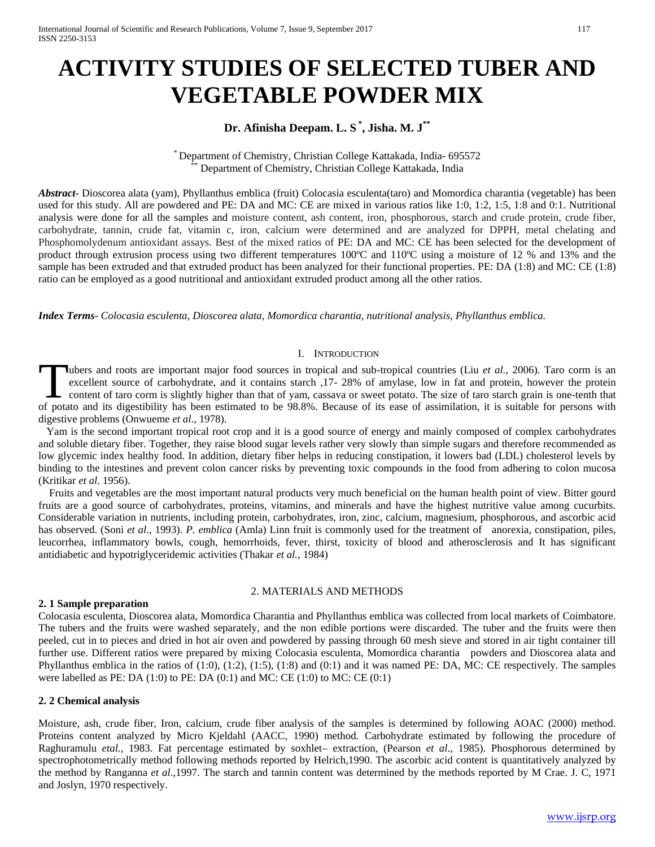# **ACTIVITY STUDIES OF SELECTED TUBER AND VEGETABLE POWDER MIX**

# **Dr. Afinisha Deepam. L. S \* , Jisha. M. J\*\***

\* Department of Chemistry, Christian College Kattakada, India- <sup>695572</sup> \*\* Department of Chemistry, Christian College Kattakada, India

*Abstract***-** Dioscorea alata (yam), Phyllanthus emblica (fruit) Colocasia esculenta(taro) and Momordica charantia (vegetable) has been used for this study. All are powdered and PE: DA and MC: CE are mixed in various ratios like 1:0, 1:2, 1:5, 1:8 and 0:1. Nutritional analysis were done for all the samples and moisture content, ash content, iron, phosphorous, starch and crude protein, crude fiber, carbohydrate, tannin, crude fat, vitamin c, iron, calcium were determined and are analyzed for DPPH, metal chelating and Phosphomolydenum antioxidant assays. Best of the mixed ratios of PE: DA and MC: CE has been selected for the development of product through extrusion process using two different temperatures 100ºC and 110ºC using a moisture of 12 % and 13% and the sample has been extruded and that extruded product has been analyzed for their functional properties. PE: DA (1:8) and MC: CE (1:8) ratio can be employed as a good nutritional and antioxidant extruded product among all the other ratios.

*Index Terms*- *Colocasia esculenta, Dioscorea alata, Momordica charantia, nutritional analysis, Phyllanthus emblica.* 

## I. INTRODUCTION

ubers and roots are important major food sources in tropical and sub-tropical countries (Liu *et al., 2006)*. Taro corm is an excellent source of carbohydrate, and it contains starch ,17- 28% of amylase, low in fat and protein, however the protein content of taro corm is slightly higher than that of yam, cassava or sweet potato. The size of taro starch grain is one-tenth that Tubers and roots are important major food sources in tropical and sub-tropical countries (Liu *et al.*, 2006). Taro corm is an excellent source of carbohydrate, and it contains starch ,17- 28% of amylase, low in fat and pr digestive problems (Onwueme *et al*., 1978).

 Yam is the second important tropical root crop and it is a good source of energy and mainly composed of complex carbohydrates and soluble dietary fiber. Together, they raise blood sugar levels rather very slowly than simple sugars and therefore recommended as low glycemic index healthy food. In addition, dietary fiber helps in reducing constipation, it lowers bad (LDL) cholesterol levels by binding to the intestines and prevent colon cancer risks by preventing toxic compounds in the food from adhering to colon mucosa (Kritikar *et al*. 1956).

 Fruits and vegetables are the most important natural products very much beneficial on the human health point of view. Bitter gourd fruits are a good source of carbohydrates, proteins, vitamins, and minerals and have the highest nutritive value among cucurbits. Considerable variation in nutrients, including protein, carbohydrates, iron, zinc, calcium, magnesium, phosphorous, and ascorbic acid has observed. (Soni *et al*., 1993). *P. emblica* (Amla) Linn fruit is commonly used for the treatment of anorexia, constipation, piles, leucorrhea, inflammatory bowls, cough, hemorrhoids, fever, thirst, toxicity of blood and atherosclerosis and It has significant antidiabetic and hypotriglyceridemic activities (Thakar *et al.*, 1984)

#### 2. MATERIALS AND METHODS

## **2. 1 Sample preparation**

Colocasia esculenta, Dioscorea alata, Momordica Charantia and Phyllanthus emblica was collected from local markets of Coimbatore. The tubers and the fruits were washed separately, and the non edible portions were discarded. The tuber and the fruits were then peeled, cut in to pieces and dried in hot air oven and powdered by passing through 60 mesh sieve and stored in air tight container till further use. Different ratios were prepared by mixing Colocasia esculenta, Momordica charantia powders and Dioscorea alata and Phyllanthus emblica in the ratios of (1:0), (1:2), (1:5), (1:8) and (0:1) and it was named PE: DA, MC: CE respectively. The samples were labelled as PE: DA  $(1:0)$  to PE: DA  $(0:1)$  and MC: CE  $(1:0)$  to MC: CE  $(0:1)$ 

## **2. 2 Chemical analysis**

Moisture, ash, crude fiber, Iron, calcium, crude fiber analysis of the samples is determined by following AOAC (2000) method. Proteins content analyzed by Micro Kjeldahl (AACC, 1990) method. Carbohydrate estimated by following the procedure of Raghuramulu *etal.,* 1983. Fat percentage estimated by soxhlet– extraction, (Pearson *et al*., 1985). Phosphorous determined by spectrophotometrically method following methods reported by Helrich,1990. The ascorbic acid content is quantitatively analyzed by the method by Ranganna *et al*.,1997. The starch and tannin content was determined by the methods reported by M Crae. J. C, 1971 and Joslyn, 1970 respectively.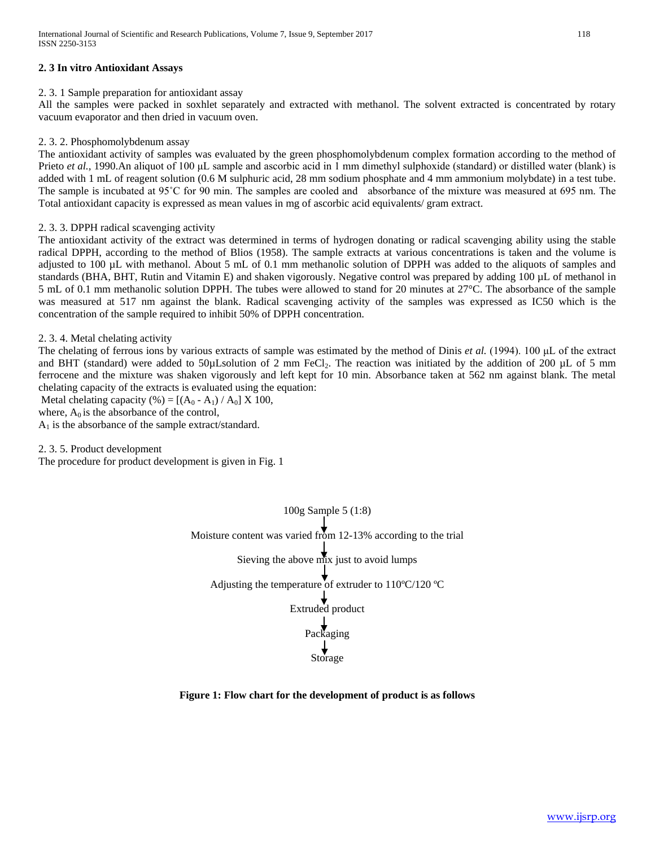## **2. 3 In vitro Antioxidant Assays**

## 2. 3. 1 Sample preparation for antioxidant assay

All the samples were packed in soxhlet separately and extracted with methanol. The solvent extracted is concentrated by rotary vacuum evaporator and then dried in vacuum oven.

## 2. 3. 2. Phosphomolybdenum assay

The antioxidant activity of samples was evaluated by the green phosphomolybdenum complex formation according to the method of Prieto *et al.,* 1990.An aliquot of 100 μL sample and ascorbic acid in 1 mm dimethyl sulphoxide (standard) or distilled water (blank) is added with 1 mL of reagent solution (0.6 M sulphuric acid, 28 mm sodium phosphate and 4 mm ammonium molybdate) in a test tube. The sample is incubated at 95˚C for 90 min. The samples are cooled and absorbance of the mixture was measured at 695 nm. The Total antioxidant capacity is expressed as mean values in mg of ascorbic acid equivalents/ gram extract.

## 2. 3. 3. DPPH radical scavenging activity

The antioxidant activity of the extract was determined in terms of hydrogen donating or radical scavenging ability using the stable radical DPPH, according to the method of Blios (1958). The sample extracts at various concentrations is taken and the volume is adjusted to 100 µL with methanol. About 5 mL of 0.1 mm methanolic solution of DPPH was added to the aliquots of samples and standards (BHA, BHT, Rutin and Vitamin E) and shaken vigorously. Negative control was prepared by adding 100 µL of methanol in 5 mL of 0.1 mm methanolic solution DPPH. The tubes were allowed to stand for 20 minutes at 27°C. The absorbance of the sample was measured at 517 nm against the blank. Radical scavenging activity of the samples was expressed as IC50 which is the concentration of the sample required to inhibit 50% of DPPH concentration.

## 2. 3. 4. Metal chelating activity

The chelating of ferrous ions by various extracts of sample was estimated by the method of Dinis *et al.* (1994). 100 μL of the extract and BHT (standard) were added to 50 $\mu$ Lsolution of 2 mm FeCl<sub>2</sub>. The reaction was initiated by the addition of 200  $\mu$ L of 5 mm ferrocene and the mixture was shaken vigorously and left kept for 10 min. Absorbance taken at 562 nm against blank. The metal chelating capacity of the extracts is evaluated using the equation:

Metal chelating capacity (%) =  $[(A_0 - A_1) / A_0]$  X 100,

where,  $A_0$  is the absorbance of the control,

 $A_1$  is the absorbance of the sample extract/standard.

2. 3. 5. Product development

The procedure for product development is given in Fig. 1

100g Sample 5 (1:8) Moisture content was varied from 12-13% according to the trial Sieving the above  $\overrightarrow{mx}$  just to avoid lumps Adjusting the temperature of extruder to  $110^{\circ}$ C/120 °C Extruded product Packaging Storage

## **Figure 1: Flow chart for the development of product is as follows**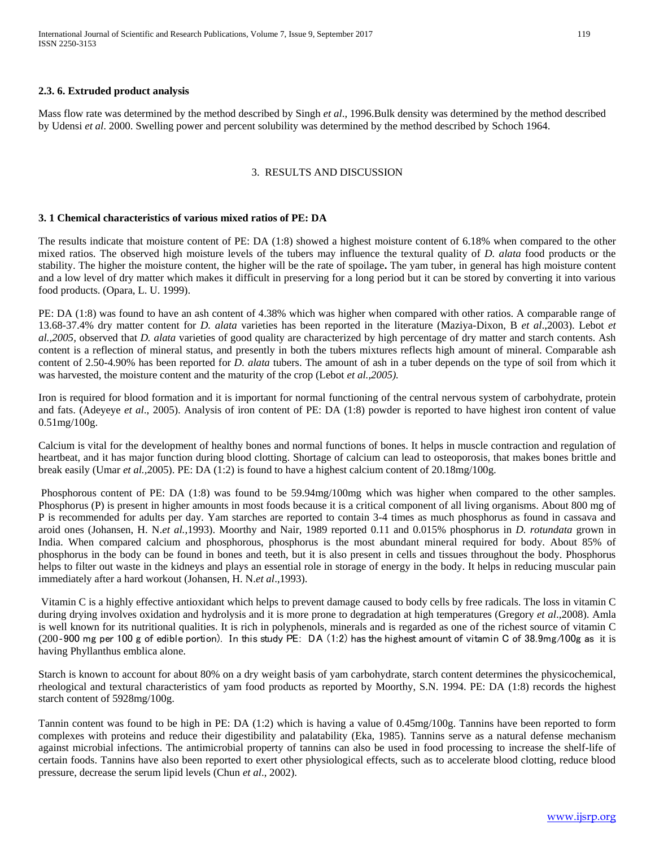## **2.3. 6. Extruded product analysis**

Mass flow rate was determined by the method described by Singh *et al*., 1996.Bulk density was determined by the method described by Udensi *et al*. 2000. Swelling power and percent solubility was determined by the method described by Schoch 1964.

#### 3. RESULTS AND DISCUSSION

## **3. 1 Chemical characteristics of various mixed ratios of PE: DA**

The results indicate that moisture content of PE: DA (1:8) showed a highest moisture content of 6.18% when compared to the other mixed ratios. The observed high moisture levels of the tubers may influence the textural quality of *D. alata* food products or the stability. The higher the moisture content, the higher will be the rate of spoilage**.** The yam tuber, in general has high moisture content and a low level of dry matter which makes it difficult in preserving for a long period but it can be stored by converting it into various food products. (Opara, L. U. 1999).

PE: DA (1:8) was found to have an ash content of 4.38% which was higher when compared with other ratios. A comparable range of 13.68-37.4% dry matter content for *D. alata* varieties has been reported in the literature (Maziya-Dixon, B *et al*.,2003). Lebot *et al.,2005,* observed that *D. alata* varieties of good quality are characterized by high percentage of dry matter and starch contents. Ash content is a reflection of mineral status, and presently in both the tubers mixtures reflects high amount of mineral. Comparable ash content of 2.50-4.90% has been reported for *D. alata* tubers. The amount of ash in a tuber depends on the type of soil from which it was harvested, the moisture content and the maturity of the crop (Lebot *et al.,2005).*

Iron is required for blood formation and it is important for normal functioning of the central nervous system of carbohydrate, protein and fats. (Adeyeye *et al*., 2005). Analysis of iron content of PE: DA (1:8) powder is reported to have highest iron content of value 0.51mg/100g.

Calcium is vital for the development of healthy bones and normal functions of bones. It helps in muscle contraction and regulation of heartbeat, and it has major function during blood clotting. Shortage of calcium can lead to osteoporosis, that makes bones brittle and break easily (Umar *et al.,*2005). PE: DA (1:2) is found to have a highest calcium content of 20.18mg/100g.

Phosphorous content of PE: DA (1:8) was found to be 59.94mg/100mg which was higher when compared to the other samples. Phosphorus (P) is present in higher amounts in most foods because it is a critical component of all living organisms. About 800 mg of P is recommended for adults per day. Yam starches are reported to contain 3-4 times as much phosphorus as found in cassava and aroid ones (Johansen, H. N.*et al.*,1993). Moorthy and Nair, 1989 reported 0.11 and 0.015% phosphorus in *D. rotundata* grown in India. When compared calcium and phosphorous, phosphorus is the most abundant mineral required for body. About 85% of phosphorus in the body can be found in bones and teeth, but it is also present in cells and tissues throughout the body. Phosphorus helps to filter out waste in the kidneys and plays an essential role in storage of energy in the body. It helps in reducing muscular pain immediately after a hard workout (Johansen, H. N.*et al*.,1993).

Vitamin C is a highly effective antioxidant which helps to prevent damage caused to body cells by free radicals. The loss in vitamin C during drying involves oxidation and hydrolysis and it is more prone to degradation at high temperatures (Gregory *et al*.,2008). Amla is well known for its nutritional qualities. It is rich in polyphenols, minerals and is regarded as one of the richest source of vitamin C (200‐900 mg per 100 g of edible portion). In this study PE: DA (1:2) has the highest amount of vitamin C of 38.9mg/100g as it is having Phyllanthus emblica alone.

Starch is known to account for about 80% on a dry weight basis of yam carbohydrate, starch content determines the physicochemical, rheological and textural characteristics of yam food products as reported by Moorthy, S.N. 1994. PE: DA (1:8) records the highest starch content of 5928mg/100g.

Tannin content was found to be high in PE: DA (1:2) which is having a value of 0.45mg/100g. Tannins have been reported to form complexes with proteins and reduce their digestibility and palatability (Eka, 1985). Tannins serve as a natural defense mechanism against microbial infections. The antimicrobial property of tannins can also be used in food processing to increase the shelf-life of certain foods. Tannins have also been reported to exert other physiological effects, such as to accelerate blood clotting, reduce blood pressure, decrease the serum lipid levels (Chun *et al*., 2002).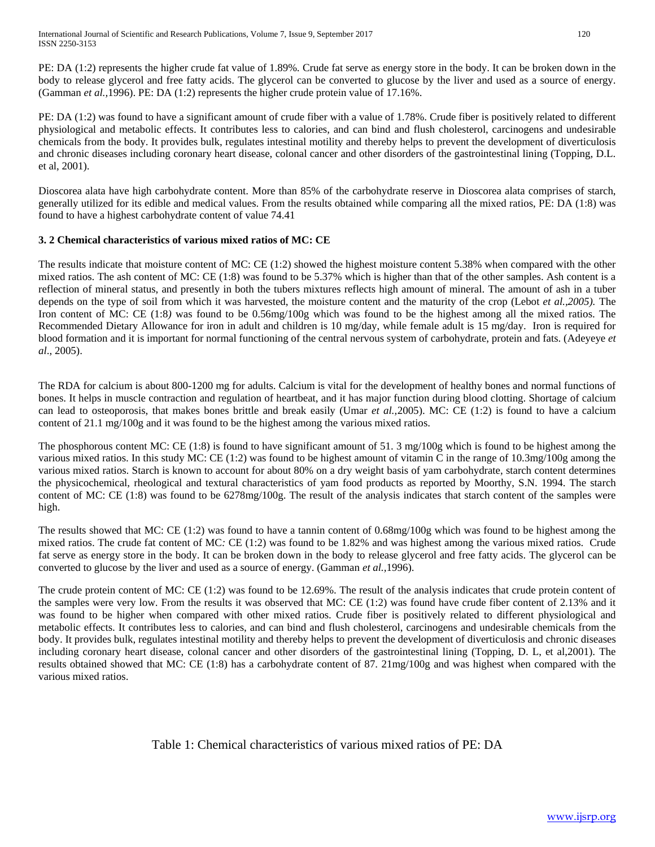PE: DA (1:2) represents the higher crude fat value of 1.89%. Crude fat serve as energy store in the body. It can be broken down in the body to release glycerol and free fatty acids. The glycerol can be converted to glucose by the liver and used as a source of energy. (Gamman *et al.,*1996). PE: DA (1:2) represents the higher crude protein value of 17.16%.

PE: DA (1:2) was found to have a significant amount of crude fiber with a value of 1.78%. Crude fiber is positively related to different physiological and metabolic effects. It contributes less to calories, and can bind and flush cholesterol, carcinogens and undesirable chemicals from the body. It provides bulk, regulates intestinal motility and thereby helps to prevent the development of diverticulosis and chronic diseases including coronary heart disease, colonal cancer and other disorders of the gastrointestinal lining (Topping, D.L. et al, 2001).

Dioscorea alata have high carbohydrate content. More than 85% of the carbohydrate reserve in Dioscorea alata comprises of starch, generally utilized for its edible and medical values. From the results obtained while comparing all the mixed ratios, PE: DA (1:8) was found to have a highest carbohydrate content of value 74.41

## **3. 2 Chemical characteristics of various mixed ratios of MC: CE**

The results indicate that moisture content of MC: CE (1:2) showed the highest moisture content 5.38% when compared with the other mixed ratios. The ash content of MC: CE (1:8) was found to be 5.37% which is higher than that of the other samples. Ash content is a reflection of mineral status, and presently in both the tubers mixtures reflects high amount of mineral. The amount of ash in a tuber depends on the type of soil from which it was harvested, the moisture content and the maturity of the crop (Lebot *et al.,2005).* The Iron content of MC: CE (1:8*)* was found to be 0.56mg/100g which was found to be the highest among all the mixed ratios. The Recommended Dietary Allowance for iron in adult and children is 10 mg/day, while female adult is 15 mg/day. Iron is required for blood formation and it is important for normal functioning of the central nervous system of carbohydrate, protein and fats. (Adeyeye *et al*., 2005).

The RDA for calcium is about 800-1200 mg for adults. Calcium is vital for the development of healthy bones and normal functions of bones. It helps in muscle contraction and regulation of heartbeat, and it has major function during blood clotting. Shortage of calcium can lead to osteoporosis, that makes bones brittle and break easily (Umar *et al.,*2005). MC: CE (1:2) is found to have a calcium content of 21.1 mg/100g and it was found to be the highest among the various mixed ratios.

The phosphorous content MC: CE (1:8) is found to have significant amount of 51. 3 mg/100g which is found to be highest among the various mixed ratios. In this study MC: CE (1:2) was found to be highest amount of vitamin C in the range of 10.3mg/100g among the various mixed ratios. Starch is known to account for about 80% on a dry weight basis of yam carbohydrate, starch content determines the physicochemical, rheological and textural characteristics of yam food products as reported by Moorthy, S.N. 1994. The starch content of MC: CE (1:8) was found to be 6278mg/100g. The result of the analysis indicates that starch content of the samples were high.

The results showed that MC: CE (1:2) was found to have a tannin content of 0.68mg/100g which was found to be highest among the mixed ratios. The crude fat content of MC*:* CE (1:2) was found to be 1.82% and was highest among the various mixed ratios. Crude fat serve as energy store in the body. It can be broken down in the body to release glycerol and free fatty acids. The glycerol can be converted to glucose by the liver and used as a source of energy. (Gamman *et al.,*1996).

The crude protein content of MC: CE (1:2) was found to be 12.69%. The result of the analysis indicates that crude protein content of the samples were very low. From the results it was observed that MC: CE (1:2) was found have crude fiber content of 2.13% and it was found to be higher when compared with other mixed ratios. Crude fiber is positively related to different physiological and metabolic effects. It contributes less to calories, and can bind and flush cholesterol, carcinogens and undesirable chemicals from the body. It provides bulk, regulates intestinal motility and thereby helps to prevent the development of diverticulosis and chronic diseases including coronary heart disease, colonal cancer and other disorders of the gastrointestinal lining (Topping, D. L, et al,2001). The results obtained showed that MC: CE (1:8) has a carbohydrate content of 87. 21mg/100g and was highest when compared with the various mixed ratios.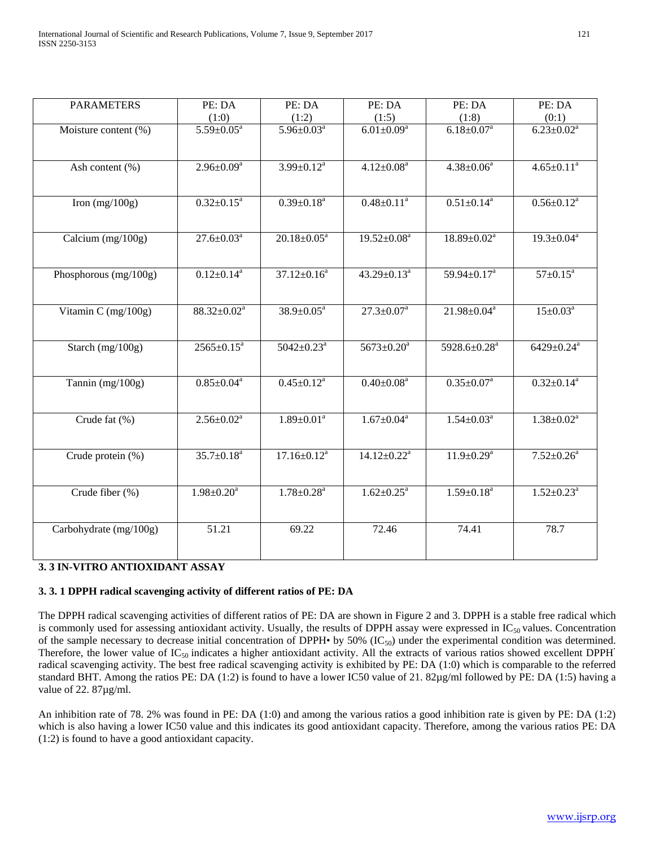| <b>PARAMETERS</b>      | PE: DA                       | PE: DA                       | PE: DA                        | PE: DA                       | PE: DA                       |
|------------------------|------------------------------|------------------------------|-------------------------------|------------------------------|------------------------------|
|                        | (1:0)                        | (1:2)                        | (1:5)                         | (1:8)                        | (0:1)                        |
| Moisture content (%)   | $5.59 \pm 0.05^{\rm a}$      | $5.96 \pm 0.03^a$            | $6.01 \pm 0.09^{\rm a}$       | $6.18 \pm 0.07^a$            | $6.23 \pm 0.02^a$            |
|                        |                              |                              |                               |                              |                              |
|                        | $2.96 \pm 0.09^a$            | $3.99 \pm 0.12^a$            | $4.12 \pm 0.08^a$             | $4.38 \pm 0.06^a$            | $4.65 \pm 0.11$ <sup>a</sup> |
| Ash content (%)        |                              |                              |                               |                              |                              |
|                        |                              |                              |                               |                              |                              |
| Iron $(mg/100g)$       | $0.32 \pm 0.15^a$            | $0.39 \pm 0.18$ <sup>a</sup> | $0.48 \pm 0.11$ <sup>a</sup>  | $0.51 \pm 0.14$ <sup>a</sup> | $0.56 \pm 0.12^a$            |
|                        |                              |                              |                               |                              |                              |
|                        |                              |                              |                               |                              |                              |
| Calcium $(mg/100g)$    | $27.6 \pm 0.03^{\text{a}}$   | $20.18 \pm 0.05^a$           | $19.52 \pm 0.08^a$            | $18.89 \pm 0.02^a$           | $19.3 \pm 0.04^a$            |
|                        |                              |                              |                               |                              |                              |
| Phosphorous (mg/100g)  | $0.12 \pm 0.14$ <sup>a</sup> | $37.12 \pm 0.16^a$           | $43.29 \pm 0.13^a$            | $59.94 \pm 0.17^a$           | $57 \pm 0.15^a$              |
|                        |                              |                              |                               |                              |                              |
|                        |                              |                              |                               |                              |                              |
| Vitamin C (mg/100g)    | $88.32 \pm 0.02^a$           | $38.9 \pm 0.05^{\text{a}}$   | $27.3 \pm 0.07^{\text{a}}$    | $21.98 \pm 0.04^a$           | $15 \pm 0.03^a$              |
|                        |                              |                              |                               |                              |                              |
| Starch $(mg/100g)$     | $2565 \pm 0.15^a$            | $5042 \pm 0.23$ <sup>a</sup> | $5673 \pm 0.20^a$             | 5928.6±0.28 <sup>a</sup>     | $6429 \pm 0.24$ <sup>a</sup> |
|                        |                              |                              |                               |                              |                              |
|                        |                              |                              |                               |                              |                              |
| Tannin $(mg/100g)$     | $0.85 \pm 0.04^a$            | $0.45 \pm 0.12^a$            | $0.40 \pm 0.08$ <sup>a</sup>  | $0.35 \pm 0.07^a$            | $0.32 \pm 0.14$ <sup>a</sup> |
|                        |                              |                              |                               |                              |                              |
|                        |                              |                              |                               |                              |                              |
| Crude fat (%)          | $2.56 \pm 0.02^a$            | $1.89 \pm 0.01$ <sup>a</sup> | $1.67 \pm 0.04^a$             | $1.54 \pm 0.03^a$            | $1.38 \pm 0.02^a$            |
|                        |                              |                              |                               |                              |                              |
| Crude protein (%)      | $35.7 \pm 0.18^a$            | $17.16 \pm 0.12^a$           | $14.12 \pm 0.22$ <sup>a</sup> | $11.9 \pm 0.29^a$            | $7.52 \pm 0.26$ <sup>a</sup> |
|                        |                              |                              |                               |                              |                              |
|                        |                              |                              |                               |                              |                              |
| Crude fiber (%)        | $1.98 \pm 0.20^a$            | $1.78 \pm 0.28$ <sup>a</sup> | $1.62 \pm 0.25^a$             | $1.59 \pm 0.18$ <sup>a</sup> | $1.52 \pm 0.23$ <sup>a</sup> |
|                        |                              |                              |                               |                              |                              |
| Carbohydrate (mg/100g) | 51.21                        | 69.22                        | 72.46                         | 74.41                        | 78.7                         |
|                        |                              |                              |                               |                              |                              |
|                        |                              |                              |                               |                              |                              |

# **3. 3 IN-VITRO ANTIOXIDANT ASSAY**

# **3. 3. 1 DPPH radical scavenging activity of different ratios of PE: DA**

The DPPH radical scavenging activities of different ratios of PE: DA are shown in Figure 2 and 3. DPPH is a stable free radical which is commonly used for assessing antioxidant activity. Usually, the results of DPPH assay were expressed in  $IC_{50}$  values. Concentration of the sample necessary to decrease initial concentration of DPPH• by 50% (IC<sub>50</sub>) under the experimental condition was determined. Therefore, the lower value of IC<sub>50</sub> indicates a higher antioxidant activity. All the extracts of various ratios showed excellent DPPH<sup>·</sup> radical scavenging activity. The best free radical scavenging activity is exhibited by PE: DA (1:0) which is comparable to the referred standard BHT. Among the ratios PE: DA (1:2) is found to have a lower IC50 value of 21. 82µg/ml followed by PE: DA (1:5) having a value of 22. 87µg/ml.

An inhibition rate of 78. 2% was found in PE: DA (1:0) and among the various ratios a good inhibition rate is given by PE: DA (1:2) which is also having a lower IC50 value and this indicates its good antioxidant capacity. Therefore, among the various ratios PE: DA (1:2) is found to have a good antioxidant capacity.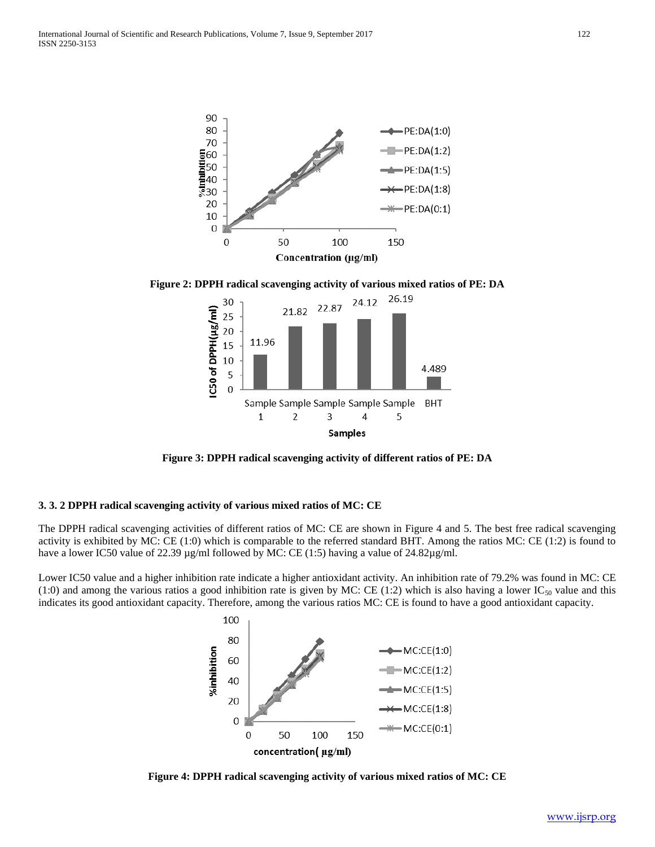

**Figure 2: DPPH radical scavenging activity of various mixed ratios of PE: DA**



**Figure 3: DPPH radical scavenging activity of different ratios of PE: DA**

## **3. 3. 2 DPPH radical scavenging activity of various mixed ratios of MC: CE**

The DPPH radical scavenging activities of different ratios of MC: CE are shown in Figure 4 and 5. The best free radical scavenging activity is exhibited by MC: CE (1:0) which is comparable to the referred standard BHT. Among the ratios MC: CE (1:2) is found to have a lower IC50 value of 22.39 µg/ml followed by MC: CE (1:5) having a value of 24.82µg/ml.

Lower IC50 value and a higher inhibition rate indicate a higher antioxidant activity. An inhibition rate of 79.2% was found in MC: CE (1:0) and among the various ratios a good inhibition rate is given by MC: CE (1:2) which is also having a lower  $IC_{50}$  value and this indicates its good antioxidant capacity. Therefore, among the various ratios MC: CE is found to have a good antioxidant capacity.



**Figure 4: DPPH radical scavenging activity of various mixed ratios of MC: CE**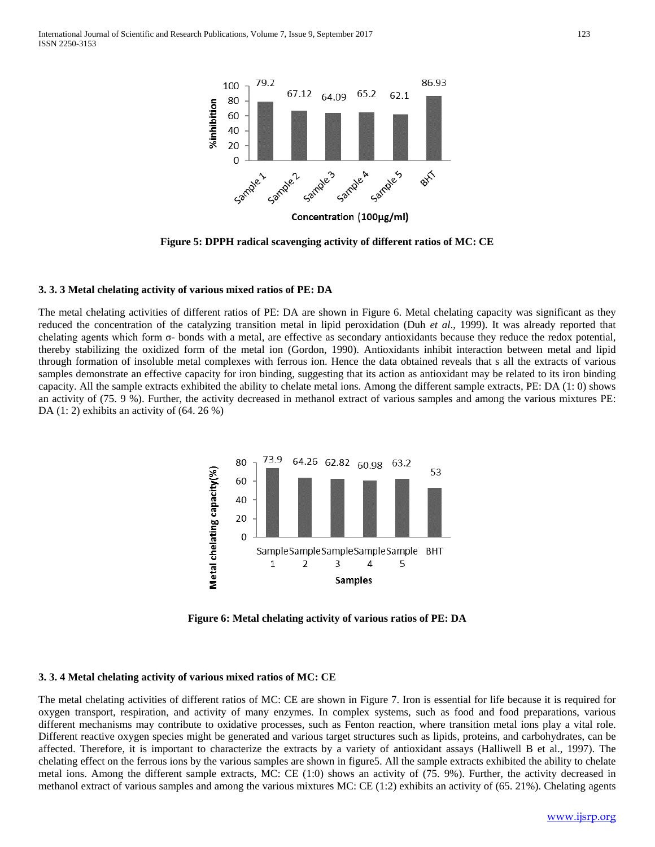

**Figure 5: DPPH radical scavenging activity of different ratios of MC: CE**

## **3. 3. 3 Metal chelating activity of various mixed ratios of PE: DA**

The metal chelating activities of different ratios of PE: DA are shown in Figure 6. Metal chelating capacity was significant as they reduced the concentration of the catalyzing transition metal in lipid peroxidation (Duh *et al*., 1999). It was already reported that chelating agents which form  $\sigma$ - bonds with a metal, are effective as secondary antioxidants because they reduce the redox potential, thereby stabilizing the oxidized form of the metal ion (Gordon, 1990). Antioxidants inhibit interaction between metal and lipid through formation of insoluble metal complexes with ferrous ion. Hence the data obtained reveals that s all the extracts of various samples demonstrate an effective capacity for iron binding, suggesting that its action as antioxidant may be related to its iron binding capacity. All the sample extracts exhibited the ability to chelate metal ions. Among the different sample extracts, PE: DA (1: 0) shows an activity of (75. 9 %). Further, the activity decreased in methanol extract of various samples and among the various mixtures PE: DA (1: 2) exhibits an activity of (64. 26 %)



**Figure 6: Metal chelating activity of various ratios of PE: DA**

# **3. 3. 4 Metal chelating activity of various mixed ratios of MC: CE**

The metal chelating activities of different ratios of MC: CE are shown in Figure 7. Iron is essential for life because it is required for oxygen transport, respiration, and activity of many enzymes. In complex systems, such as food and food preparations, various different mechanisms may contribute to oxidative processes, such as Fenton reaction, where transition metal ions play a vital role. Different reactive oxygen species might be generated and various target structures such as lipids, proteins, and carbohydrates, can be affected. Therefore, it is important to characterize the extracts by a variety of antioxidant assays (Halliwell B et al., 1997). The chelating effect on the ferrous ions by the various samples are shown in figure5. All the sample extracts exhibited the ability to chelate metal ions. Among the different sample extracts, MC: CE (1:0) shows an activity of (75. 9%). Further, the activity decreased in methanol extract of various samples and among the various mixtures MC: CE (1:2) exhibits an activity of (65. 21%). Chelating agents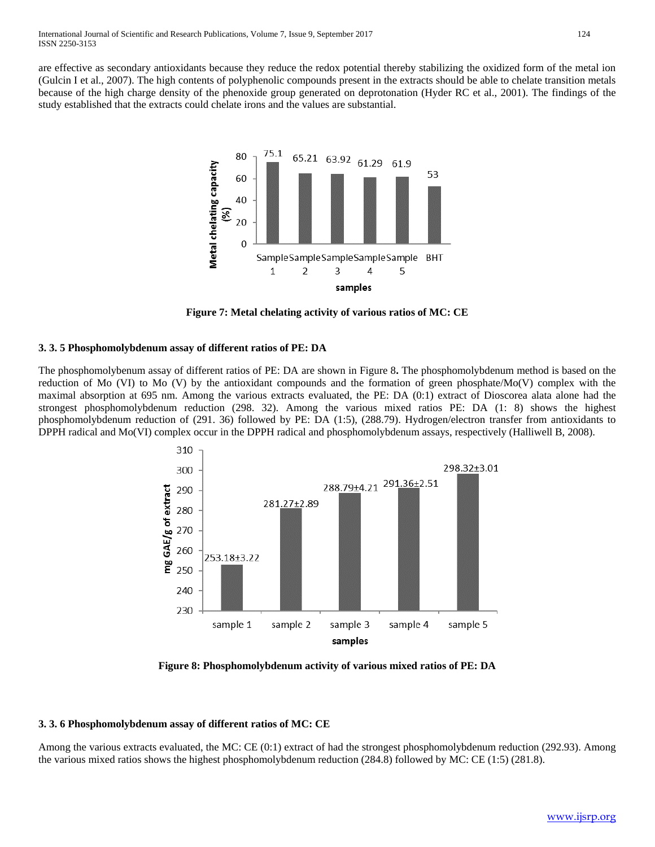are effective as secondary antioxidants because they reduce the redox potential thereby stabilizing the oxidized form of the metal ion (Gulcin I et al., 2007). The high contents of polyphenolic compounds present in the extracts should be able to chelate transition metals because of the high charge density of the phenoxide group generated on deprotonation (Hyder RC et al., 2001). The findings of the study established that the extracts could chelate irons and the values are substantial.



**Figure 7: Metal chelating activity of various ratios of MC: CE**

## **3. 3. 5 Phosphomolybdenum assay of different ratios of PE: DA**

The phosphomolybenum assay of different ratios of PE: DA are shown in Figure 8**.** The phosphomolybdenum method is based on the reduction of Mo (VI) to Mo (V) by the antioxidant compounds and the formation of green phosphate/Mo(V) complex with the maximal absorption at 695 nm. Among the various extracts evaluated, the PE: DA (0:1) extract of Dioscorea alata alone had the strongest phosphomolybdenum reduction (298. 32). Among the various mixed ratios PE: DA (1: 8) shows the highest phosphomolybdenum reduction of (291. 36) followed by PE: DA (1:5), (288.79). Hydrogen/electron transfer from antioxidants to DPPH radical and Mo(VI) complex occur in the DPPH radical and phosphomolybdenum assays, respectively (Halliwell B, 2008).



**Figure 8: Phosphomolybdenum activity of various mixed ratios of PE: DA**

## **3. 3. 6 Phosphomolybdenum assay of different ratios of MC: CE**

Among the various extracts evaluated, the MC: CE (0:1) extract of had the strongest phosphomolybdenum reduction (292.93). Among the various mixed ratios shows the highest phosphomolybdenum reduction (284.8) followed by MC: CE (1:5) (281.8).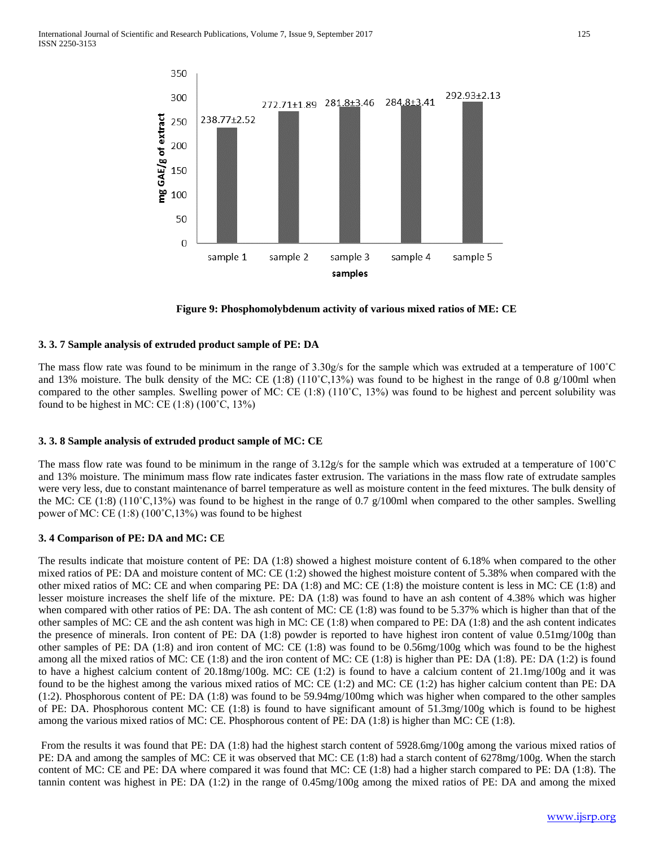

**Figure 9: Phosphomolybdenum activity of various mixed ratios of ME: CE**

## **3. 3. 7 Sample analysis of extruded product sample of PE: DA**

The mass flow rate was found to be minimum in the range of  $3.30g/s$  for the sample which was extruded at a temperature of  $100^{\circ}$ C and 13% moisture. The bulk density of the MC: CE  $(1.8)$   $(110^{\circ}C, 13%)$  was found to be highest in the range of 0.8 g/100ml when compared to the other samples. Swelling power of MC: CE (1:8) (110˚C, 13%) was found to be highest and percent solubility was found to be highest in MC: CE  $(1.8)$   $(100^{\circ}C, 13\%)$ 

## **3. 3. 8 Sample analysis of extruded product sample of MC: CE**

The mass flow rate was found to be minimum in the range of  $3.12g/s$  for the sample which was extruded at a temperature of  $100^{\circ}$ C and 13% moisture. The minimum mass flow rate indicates faster extrusion. The variations in the mass flow rate of extrudate samples were very less, due to constant maintenance of barrel temperature as well as moisture content in the feed mixtures. The bulk density of the MC: CE (1:8) (110˚C,13%) was found to be highest in the range of 0.7 g/100ml when compared to the other samples. Swelling power of MC: CE  $(1.8)$   $(100^{\circ}C, 13\%)$  was found to be highest

## **3. 4 Comparison of PE: DA and MC: CE**

The results indicate that moisture content of PE: DA (1:8) showed a highest moisture content of 6.18% when compared to the other mixed ratios of PE: DA and moisture content of MC: CE (1:2) showed the highest moisture content of 5.38% when compared with the other mixed ratios of MC: CE and when comparing PE: DA (1:8) and MC: CE (1:8) the moisture content is less in MC: CE (1:8) and lesser moisture increases the shelf life of the mixture. PE: DA (1:8) was found to have an ash content of 4.38% which was higher when compared with other ratios of PE: DA. The ash content of MC: CE (1:8) was found to be 5.37% which is higher than that of the other samples of MC: CE and the ash content was high in MC: CE (1:8) when compared to PE: DA (1:8) and the ash content indicates the presence of minerals. Iron content of PE: DA (1:8) powder is reported to have highest iron content of value 0.51mg/100g than other samples of PE: DA (1:8) and iron content of MC: CE (1:8) was found to be 0.56mg/100g which was found to be the highest among all the mixed ratios of MC: CE  $(1:8)$  and the iron content of MC: CE  $(1:8)$  is higher than PE: DA  $(1:8)$ . PE: DA  $(1:2)$  is found to have a highest calcium content of 20.18mg/100g. MC: CE (1:2) is found to have a calcium content of 21.1mg/100g and it was found to be the highest among the various mixed ratios of MC: CE (1:2) and MC: CE (1:2) has higher calcium content than PE: DA (1:2). Phosphorous content of PE: DA (1:8) was found to be 59.94mg/100mg which was higher when compared to the other samples of PE: DA. Phosphorous content MC: CE (1:8) is found to have significant amount of 51.3mg/100g which is found to be highest among the various mixed ratios of MC: CE. Phosphorous content of PE: DA (1:8) is higher than MC: CE (1:8).

From the results it was found that PE: DA (1:8) had the highest starch content of 5928.6mg/100g among the various mixed ratios of PE: DA and among the samples of MC: CE it was observed that MC: CE (1:8) had a starch content of 6278mg/100g. When the starch content of MC: CE and PE: DA where compared it was found that MC: CE (1:8) had a higher starch compared to PE: DA (1:8). The tannin content was highest in PE: DA (1:2) in the range of 0.45mg/100g among the mixed ratios of PE: DA and among the mixed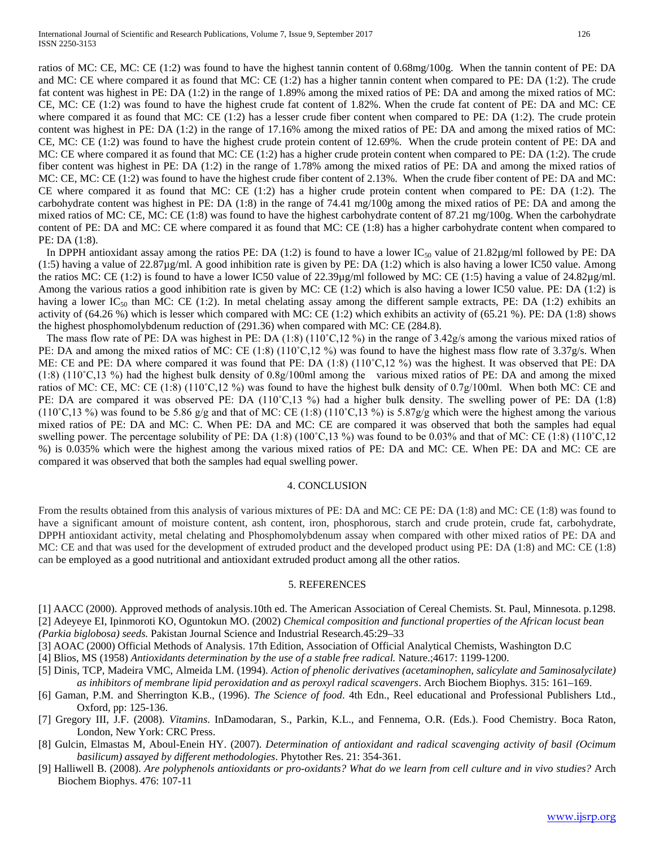ratios of MC: CE, MC: CE (1:2) was found to have the highest tannin content of 0.68mg/100g. When the tannin content of PE: DA and MC: CE where compared it as found that MC: CE (1:2) has a higher tannin content when compared to PE: DA (1:2). The crude fat content was highest in PE: DA (1:2) in the range of 1.89% among the mixed ratios of PE: DA and among the mixed ratios of MC: CE, MC: CE (1:2) was found to have the highest crude fat content of 1.82%. When the crude fat content of PE: DA and MC: CE where compared it as found that MC: CE (1:2) has a lesser crude fiber content when compared to PE: DA (1:2). The crude protein content was highest in PE: DA (1:2) in the range of 17.16% among the mixed ratios of PE: DA and among the mixed ratios of MC: CE, MC: CE (1:2) was found to have the highest crude protein content of 12.69%. When the crude protein content of PE: DA and MC: CE where compared it as found that MC: CE (1:2) has a higher crude protein content when compared to PE: DA (1:2). The crude fiber content was highest in PE: DA (1:2) in the range of 1.78% among the mixed ratios of PE: DA and among the mixed ratios of MC: CE, MC: CE (1:2) was found to have the highest crude fiber content of 2.13%. When the crude fiber content of PE: DA and MC: CE where compared it as found that MC: CE (1:2) has a higher crude protein content when compared to PE: DA (1:2). The carbohydrate content was highest in PE: DA (1:8) in the range of 74.41 mg/100g among the mixed ratios of PE: DA and among the mixed ratios of MC: CE, MC: CE (1:8) was found to have the highest carbohydrate content of 87.21 mg/100g. When the carbohydrate content of PE: DA and MC: CE where compared it as found that MC: CE (1:8) has a higher carbohydrate content when compared to PE: DA (1:8).

In DPPH antioxidant assay among the ratios PE: DA (1:2) is found to have a lower  $IC_{50}$  value of 21.82µg/ml followed by PE: DA  $(1:5)$  having a value of 22.87 $\mu$ g/ml. A good inhibition rate is given by PE: DA  $(1:2)$  which is also having a lower IC50 value. Among the ratios MC: CE (1:2) is found to have a lower IC50 value of 22.39µg/ml followed by MC: CE (1:5) having a value of 24.82µg/ml. Among the various ratios a good inhibition rate is given by MC: CE (1:2) which is also having a lower IC50 value. PE: DA (1:2) is having a lower IC<sub>50</sub> than MC: CE (1:2). In metal chelating assay among the different sample extracts, PE: DA (1:2) exhibits an activity of (64.26 %) which is lesser which compared with MC: CE (1:2) which exhibits an activity of (65.21 %). PE: DA (1:8) shows the highest phosphomolybdenum reduction of (291.36) when compared with MC: CE (284.8).

The mass flow rate of PE: DA was highest in PE: DA  $(1.8)$   $(110^{\circ}C,12\%)$  in the range of 3.42g/s among the various mixed ratios of PE: DA and among the mixed ratios of MC: CE (1:8) (110°C,12 %) was found to have the highest mass flow rate of 3.37g/s. When ME: CE and PE: DA where compared it was found that PE: DA (1:8) (110˚C,12 %) was the highest. It was observed that PE: DA (1:8) (110˚C,13 %) had the highest bulk density of 0.8g/100ml among the various mixed ratios of PE: DA and among the mixed ratios of MC: CE, MC: CE (1:8) (110˚C,12 %) was found to have the highest bulk density of 0.7g/100ml. When both MC: CE and PE: DA are compared it was observed PE: DA (110°C,13 %) had a higher bulk density. The swelling power of PE: DA (1:8)  $(110^{\circ}C, 13 \%)$  was found to be 5.86 g/g and that of MC: CE (1:8) (110°C,13 %) is 5.87g/g which were the highest among the various mixed ratios of PE: DA and MC: C. When PE: DA and MC: CE are compared it was observed that both the samples had equal swelling power. The percentage solubility of PE: DA  $(1.8)$   $(100^{\circ}C, 13 \%)$  was found to be 0.03% and that of MC: CE  $(1.8)$   $(110^{\circ}C, 12$ %) is 0.035% which were the highest among the various mixed ratios of PE: DA and MC: CE. When PE: DA and MC: CE are compared it was observed that both the samples had equal swelling power.

#### 4. CONCLUSION

From the results obtained from this analysis of various mixtures of PE: DA and MC: CE PE: DA (1:8) and MC: CE (1:8) was found to have a significant amount of moisture content, ash content, iron, phosphorous, starch and crude protein, crude fat, carbohydrate, DPPH antioxidant activity, metal chelating and Phosphomolybdenum assay when compared with other mixed ratios of PE: DA and MC: CE and that was used for the development of extruded product and the developed product using PE: DA (1:8) and MC: CE (1:8) can be employed as a good nutritional and antioxidant extruded product among all the other ratios.

#### 5. REFERENCES

- [1] AACC (2000). Approved methods of analysis.10th ed. The American Association of Cereal Chemists. St. Paul, Minnesota. p.1298. [2] Adeyeye EI, Ipinmoroti KO, Oguntokun MO. (2002) *Chemical composition and functional properties of the African locust bean (Parkia biglobosa) seeds.* Pakistan Journal Science and Industrial Research.45:29–33
- [3] AOAC (2000) Official Methods of Analysis. 17th Edition, Association of Official Analytical Chemists, Washington D.C
- [4] Blios, MS (1958) *Antioxidants determination by the use of a stable free radical.* Nature.;4617: 1199-1200.
- [5] Dinis, TCP, Madeira VMC, Almeida LM. (1994). *Action of phenolic derivatives (acetaminophen, salicylate and 5aminosalycilate) as inhibitors of membrane lipid peroxidation and as peroxyl radical scavengers*. Arch Biochem Biophys. 315: 161–169.
- [6] Gaman, P.M. and Sherrington K.B., (1996). *The Science of food*. 4th Edn., Reel educational and Professional Publishers Ltd., Oxford, pp: 125-136.
- [7] Gregory III, J.F. (2008). *Vitamins*. InDamodaran, S., Parkin, K.L., and Fennema, O.R. (Eds.). Food Chemistry. Boca Raton, London, New York: CRC Press.
- [8] Gulcin, Elmastas M, Aboul-Enein HY. (2007). *Determination of antioxidant and radical scavenging activity of basil (Ocimum basilicum) assayed by different methodologies*. Phytother Res. 21: 354-361.
- [9] Halliwell B. (2008). *Are polyphenols antioxidants or pro-oxidants? What do we learn from cell culture and in vivo studies?* Arch Biochem Biophys. 476: 107-11